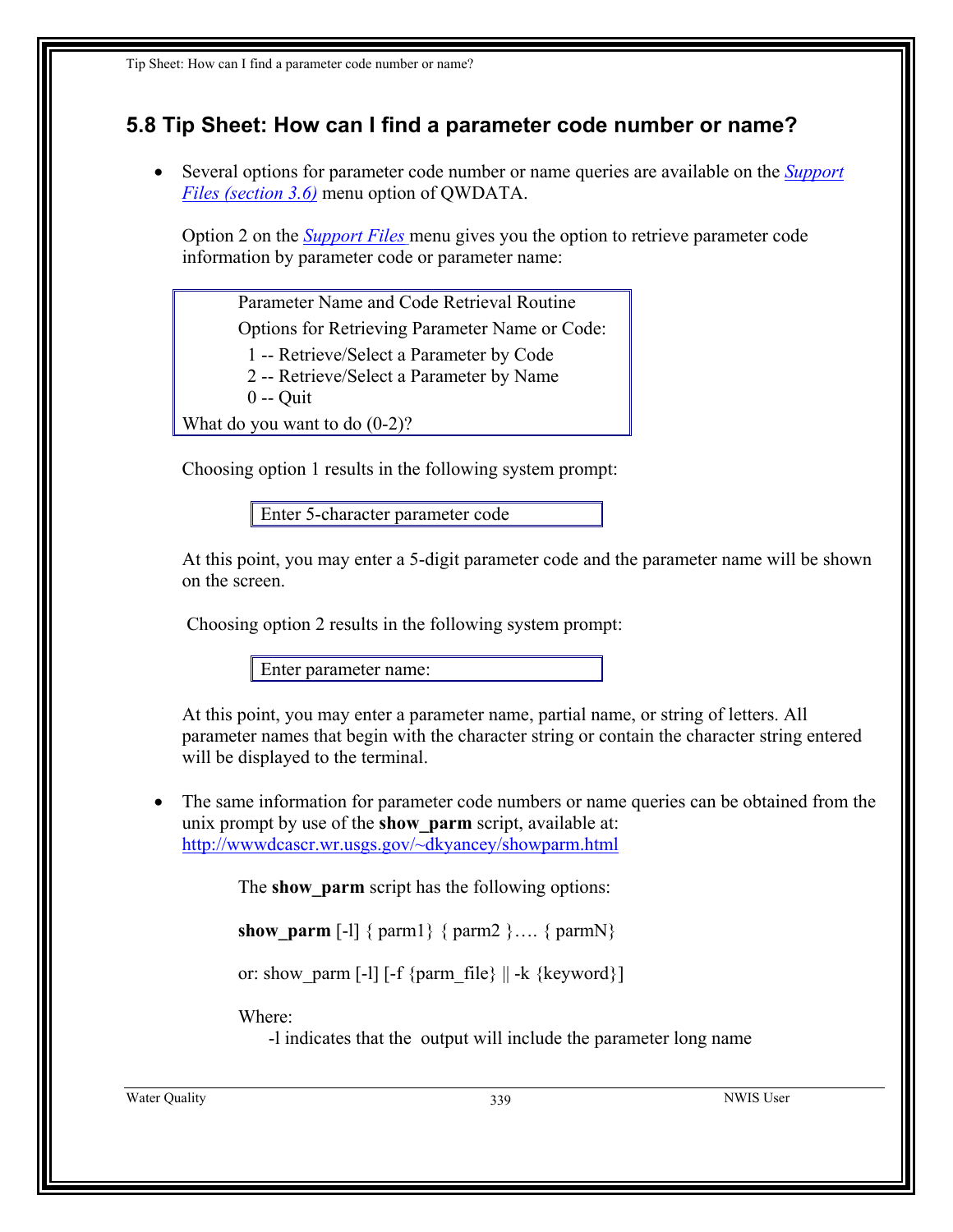## **5.8 Tip Sheet: How can I find a parameter code number or name?**

• Several options for parameter code number or name queries are available on the *Support Files (section 3.6)* menu option of QWDATA.

Option 2 on the *[Support Files](#page-1-0)* menu gives you the option to retrieve parameter code information by parameter code or parameter name:

Parameter Name and Code Retrieval Routine

Options for Retrieving Parameter Name or Code:

1 -- Retrieve/Select a Parameter by Code

2 -- Retrieve/Select a Parameter by Name

0 -- Quit

What do you want to do  $(0-2)$ ?

Choosing option 1 results in the following system prompt:

Enter 5-character parameter code

At this point, you may enter a 5-digit parameter code and the parameter name will be shown on the screen.

Choosing option 2 results in the following system prompt:

Enter parameter name:

At this point, you may enter a parameter name, partial name, or string of letters. All parameter names that begin with the character string or contain the character string entered will be displayed to the terminal.

The same information for parameter code numbers or name queries can be obtained from the unix prompt by use of the **show\_parm** script, available at: <http://wwwdcascr.wr.usgs.gov/~dkyancey/showparm.html>

The **show** parm script has the following options:

**show** parm  $[-1]$  { parm1} { parm2 }…. { parmN}

or: show parm [-l] [-f {parm\_file}  $|| -k$  {keyword}]

Where:

-l indicates that the output will include the parameter long name

Water Quality **339** NWIS User